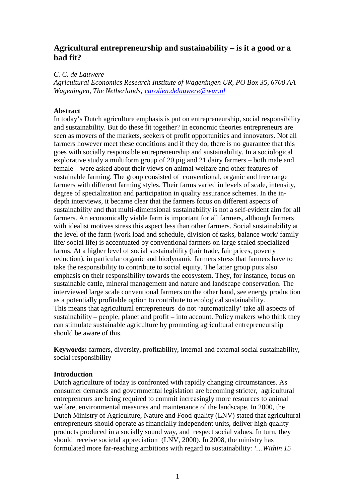# **Agricultural entrepreneurship and sustainability – is it a good or a bad fit?**

*C. C. de Lauwere*

*Agricultural Economics Research Institute of Wageningen UR, PO Box 35, 6700 AA Wageningen, The Netherlands; carolien.delauwere@wur.nl*

## **Abstract**

In today's Dutch agriculture emphasis is put on entrepreneurship, social responsibility and sustainability. But do these fit together? In economic theories entrepreneurs are seen as movers of the markets, seekers of profit opportunities and innovators. Not all farmers however meet these conditions and if they do, there is no guarantee that this goes with socially responsible entrepreneurship and sustainability. In a sociological explorative study a multiform group of 20 pig and 21 dairy farmers – both male and female – were asked about their views on animal welfare and other features of sustainable farming. The group consisted of conventional, organic and free range farmers with different farming styles. Their farms varied in levels of scale, intensity, degree of specialization and participation in quality assurance schemes. In the indepth interviews, it became clear that the farmers focus on different aspects of sustainability and that multi-dimensional sustainability is not a self-evident aim for all farmers. An economically viable farm is important for all farmers, although farmers with idealist motives stress this aspect less than other farmers. Social sustainability at the level of the farm (work load and schedule, division of tasks, balance work/ family life/ social life) is accentuated by conventional farmers on large scaled specialized farms. At a higher level of social sustainability (fair trade, fair prices, poverty reduction), in particular organic and biodynamic farmers stress that farmers have to take the responsibility to contribute to social equity. The latter group puts also emphasis on their responsibility towards the ecosystem. They, for instance, focus on sustainable cattle, mineral management and nature and landscape conservation. The interviewed large scale conventional farmers on the other hand, see energy production as a potentially profitable option to contribute to ecological sustainability. This means that agricultural entrepreneurs do not 'automatically' take all aspects of sustainability – people, planet and profit – into account. Policy makers who think they can stimulate sustainable agriculture by promoting agricultural entrepreneurship should be aware of this.

**Keywords:** farmers, diversity, profitability, internal and external social sustainability, social responsibility

#### **Introduction**

Dutch agriculture of today is confronted with rapidly changing circumstances. As consumer demands and governmental legislation are becoming stricter, agricultural entrepreneurs are being required to commit increasingly more resources to animal welfare, environmental measures and maintenance of the landscape. In 2000, the Dutch Ministry of Agriculture, Nature and Food quality (LNV) stated that agricultural entrepreneurs should operate as financially independent units, deliver high quality products produced in a socially sound way, and respect social values. In turn, they should receive societal appreciation (LNV, 2000). In 2008, the ministry has formulated more far-reaching ambitions with regard to sustainability: *'…Within 15*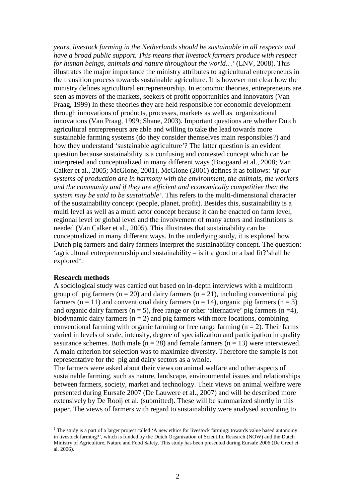*years, livestock farming in the Netherlands should be sustainable in all respects and have a broad public support. This means that livestock farmers produce with respect for human beings, animals and nature throughout the world…'* (LNV, 2008). This illustrates the major importance the ministry attributes to agricultural entrepreneurs in the transition process towards sustainable agriculture. It is however not clear how the ministry defines agricultural entrepreneurship. In economic theories, entrepreneurs are seen as movers of the markets, seekers of profit opportunities and innovators (Van Praag, 1999) In these theories they are held responsible for economic development through innovations of products, processes, markets as well as organizational innovations (Van Praag, 1999; Shane, 2003). Important questions are whether Dutch agricultural entrepreneurs are able and willing to take the lead towards more sustainable farming systems (do they consider themselves main responsibles?) and how they understand 'sustainable agriculture'? The latter question is an evident question because sustainability is a confusing and contested concept which can be interpreted and conceptualized in many different ways (Boogaard et al., 2008; Van Calker et al., 2005; McGlone, 2001). McGlone (2001) defines it as follows: *'If our systems of production are in harmony with the environment, the animals, the workers and the community and if they are efficient and economically competitive then the system may be said to be sustainable'.* This refers to the multi-dimensional character of the sustainability concept (people, planet, profit). Besides this, sustainability is a multi level as well as a multi actor concept because it can be enacted on farm level, regional level or global level and the involvement of many actors and institutions is needed (Van Calker et al., 2005). This illustrates that sustainability can be conceptualized in many different ways. In the underlying study, it is explored how Dutch pig farmers and dairy farmers interpret the sustainability concept. The question: 'agricultural entrepreneurship and sustainability – is it a good or a bad fit?'shall be  $explored^1$ .

#### **Research methods**

 $\overline{a}$ 

A sociological study was carried out based on in-depth interviews with a multiform group of pig farmers ( $n = 20$ ) and dairy farmers ( $n = 21$ ), including conventional pig farmers ( $n = 11$ ) and conventional dairy farmers ( $n = 14$ ), organic pig farmers ( $n = 3$ ) and organic dairy farmers ( $n = 5$ ), free range or other 'alternative' pig farmers ( $n = 4$ ), biodynamic dairy farmers ( $n = 2$ ) and pig farmers with more locations, combining conventional farming with organic farming or free range farming  $(n = 2)$ . Their farms varied in levels of scale, intensity, degree of specialization and participation in quality assurance schemes. Both male ( $n = 28$ ) and female farmers ( $n = 13$ ) were interviewed. A main criterion for selection was to maximize diversity. Therefore the sample is not representative for the pig and dairy sectors as a whole.

The farmers were asked about their views on animal welfare and other aspects of sustainable farming, such as nature, landscape, environmental issues and relationships between farmers, society, market and technology. Their views on animal welfare were presented during Eursafe 2007 (De Lauwere et al., 2007) and will be described more extensively by De Rooij et al. (submitted). These will be summarized shortly in this paper. The views of farmers with regard to sustainability were analysed according to

<sup>&</sup>lt;sup>1</sup> The study is a part of a larger project called 'A new ethics for livestock farming: towards value based autonomy in livestock farming?', which is funded by the Dutch Organization of Scientific Research (NOW) and the Dutch Ministry of Agriculture, Nature and Food Safety. This study has been presented during Eursafe 2006 (De Greef et al. 2006).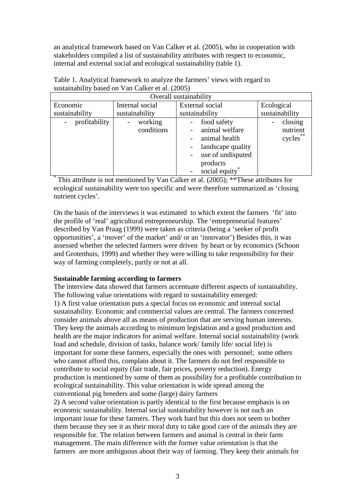an analytical framework based on Van Calker et al. (2005), who in cooperation with stakeholders compiled a list of sustainability attributes with respect to economic, internal and external social and ecological sustainability (table 1).

| Overall sustainability |                 |                   |                |  |  |  |  |
|------------------------|-----------------|-------------------|----------------|--|--|--|--|
| Economic               | Internal social | External social   | Ecological     |  |  |  |  |
| sustainability         | sustainability  | sustainability    | sustainability |  |  |  |  |
| profitability          | working         | food safety       | closing        |  |  |  |  |
|                        | conditions      | animal welfare    | nutrient       |  |  |  |  |
|                        |                 | animal health     | $cycles$ **    |  |  |  |  |
|                        |                 | landscape quality |                |  |  |  |  |
|                        |                 | use of undisputed |                |  |  |  |  |
|                        |                 | products          |                |  |  |  |  |
|                        |                 | social equity     |                |  |  |  |  |

Table 1. Analytical framework to analyze the farmers' views with regard to sustainability based on Van Calker et al. (2005)

\* This attribute is not mentioned by Van Calker et al. (2005); \*\*These attributes for ecological sustainability were too specific and were therefore summarized as 'closing nutrient cycles'.

On the basis of the interviews it was estimated to which extent the farmers 'fit' into the profile of 'real' agricultural entrepreneurship. The 'entrepreneurial features' described by Van Praag (1999) were taken as criteria (being a 'seeker of profit opportunities', a 'mover' of the market' and/ or an 'innovator') Besides this, it was assessed whether the selected farmers were driven by heart or by economics (Schoon and Grotenhuis, 1999) and whether they were willing to take responsibility for their way of farming completely, partly or not at all.

## **Sustainable farming according to farmers**

The interview data showed that farmers accentuate different aspects of sustainability. The following value orientations with regard to sustainability emerged: 1) A first value orientation puts a special focus on economic and internal social sustainability. Economic and commercial values are central. The farmers concerned consider animals above all as means of production that are serving human interests. They keep the animals according to minimum legislation and a good production and health are the major indicators for animal welfare. Internal social sustainability (work load and schedule, division of tasks, balance work/ family life/ social life) is important for some these farmers, especially the ones with personnel; some others who cannot afford this, complain about it. The farmers do not feel responsible to contribute to social equity (fair trade, fair prices, poverty reduction). Energy production is mentioned by some of them as possibility for a profitable contribution to ecological sustainability. This value orientation is wide spread among the conventional pig breeders and some (large) dairy farmers 2) A second value orientation is partly identical to the first because emphasis is on

economic sustainability. Internal social sustainability however is not such an important issue for these farmers. They work hard but this does not seem to bother them because they see it as their moral duty to take good care of the animals they are responsible for. The relation between farmers and animal is central in their farm management. The main difference with the former value orientation is that the farmers are more ambiguous about their way of farming. They keep their animals for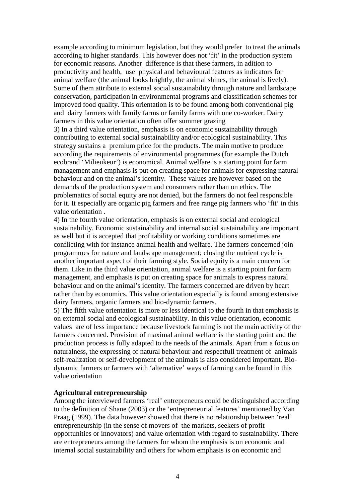example according to minimum legislation, but they would prefer to treat the animals according to higher standards. This however does not 'fit' in the production system for economic reasons. Another difference is that these farmers, in adition to productivity and health, use physical and behavioural features as indicators for animal welfare (the animal looks brightly, the animal shines, the animal is lively). Some of them attribute to external social sustainability through nature and landscape conservation, participation in environmental programs and classification schemes for improved food quality. This orientation is to be found among both conventional pig and dairy farmers with family farms or family farms with one co-worker. Dairy farmers in this value orientation often offer summer grazing

3) In a third value orientation, emphasis is on economic sustainability through contributing to external social sustainability and/or ecological sustainability. This strategy sustains a premium price for the products. The main motive to produce according the requirements of environmental programmes (for example the Dutch ecobrand 'Milieukeur') is economical. Animal welfare is a starting point for farm management and emphasis is put on creating space for animals for expressing natural behaviour and on the animal's identity. These values are however based on the demands of the production system and consumers rather than on ethics. The problematics of social equity are not denied, but the farmers do not feel responsible for it. It especially are organic pig farmers and free range pig farmers who 'fit' in this value orientation .

4) In the fourth value orientation, emphasis is on external social and ecological sustainability. Economic sustainability and internal social sustainability are important as well but it is accepted that profitability or working conditions sometimes are conflicting with for instance animal health and welfare. The farmers concerned join programmes for nature and landscape management; closing the nutrient cycle is another important aspect of their farming style. Social equity is a main concern for them. Like in the third value orientation, animal welfare is a starting point for farm management, and emphasis is put on creating space for animals to express natural behaviour and on the animal's identity. The farmers concerned are driven by heart rather than by economics. This value orientation especially is found among extensive dairy farmers, organic farmers and bio-dynamic farmers.

5) The fifth value orientation is more or less identical to the fourth in that emphasis is on external social and ecological sustainability. In this value orientation, economic values are of less importance because livestock farming is not the main activity of the farmers concerned. Provision of maximal animal welfare is the starting point and the production process is fully adapted to the needs of the animals. Apart from a focus on naturalness, the expressing of natural behaviour and respectfull treatment of animals self-realization or self-development of the animals is also considered important. Biodynamic farmers or farmers with 'alternative' ways of farming can be found in this value orientation

#### **Agricultural entrepreneurship**

Among the interviewed farmers 'real' entrepreneurs could be distinguished according to the definition of Shane (2003) or the 'entrepreneurial features' mentioned by Van Praag (1999). The data however showed that there is no relationship between 'real' entrepreneurship (in the sense of movers of the markets, seekers of profit opportunities or innovators) and value orientation with regard to sustainability. There are entrepreneurs among the farmers for whom the emphasis is on economic and internal social sustainability and others for whom emphasis is on economic and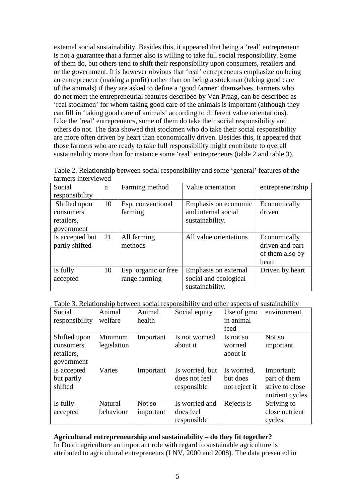external social sustainability. Besides this, it appeared that being a 'real' entrepreneur is not a guarantee that a farmer also is willing to take full social responsibility. Some of them do, but others tend to shift their responsibility upon consumers, retailers and or the government. It is however obvious that 'real' entrepreneurs emphasize on being an entrepreneur (making a profit) rather than on being a stockman (taking good care of the animals) if they are asked to define a 'good farmer' themselves. Farmers who do not meet the entrepreneurial features described by Van Praag, can be described as 'real stockmen' for whom taking good care of the animals is important (although they can fill in 'taking good care of animals' according to different value orientations). Like the 'real' entrepreneurs, some of them do take their social responsibility and others do not. The data showed that stockmen who do take their social responsibility are more often driven by heart than economically driven. Besides this, it appeared that those farmers who are ready to take full responsibility might contribute to overall sustainability more than for instance some 'real' entrepreneurs (table 2 and table 3).

| Social          | n  | Farming method       | Value orientation      | entrepreneurship |
|-----------------|----|----------------------|------------------------|------------------|
| responsibility  |    |                      |                        |                  |
| Shifted upon    | 10 | Esp. conventional    | Emphasis on economic   | Economically     |
| consumers       |    | farming              | and internal social    | driven           |
| retailers,      |    |                      | sustainability.        |                  |
| government      |    |                      |                        |                  |
| Is accepted but | 21 | All farming          | All value orientations | Economically     |
| partly shifted  |    | methods              |                        | driven and part  |
|                 |    |                      |                        | of them also by  |
|                 |    |                      |                        | heart            |
| Is fully        | 10 | Esp. organic or free | Emphasis on external   | Driven by heart  |
| accepted        |    | range farming        | social and ecological  |                  |
|                 |    |                      | sustainability.        |                  |

Table 2. Relationship between social responsibility and some 'general' features of the farmers interviewed

Table 3. Relationship between social responsibility and other aspects of sustainability

| Social         | Animal      | Animal    | Social equity   | Use of gmo    | environment     |
|----------------|-------------|-----------|-----------------|---------------|-----------------|
| responsibility | welfare     | health    |                 | in animal     |                 |
|                |             |           |                 | feed          |                 |
| Shifted upon   | Minimum     | Important | Is not worried  | Is not so     | Not so          |
| consumers      | legislation |           | about it        | worried       | important       |
| retailers,     |             |           |                 | about it      |                 |
| government     |             |           |                 |               |                 |
| Is accepted    | Varies      | Important | Is worried, but | Is worried,   | Important;      |
| but partly     |             |           | does not feel   | but does      | part of them    |
| shifted        |             |           | responsible     | not reject it | strive to close |
|                |             |           |                 |               | nutrient cycles |
| Is fully       | Natural     | Not so    | Is worried and  | Rejects is    | Striving to     |
| accepted       | behaviour   | important | does feel       |               | close nutrient  |
|                |             |           | responsible     |               | cycles          |

## **Agricultural entrepreneurship and sustainability – do they fit together?**

In Dutch agriculture an important role with regard to sustainable agriculture is attributed to agricultural entrepreneurs (LNV, 2000 and 2008). The data presented in